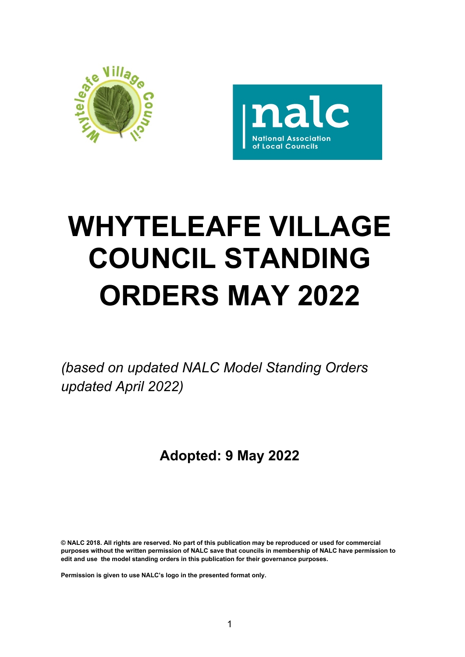



# **WHYTELEAFE VILLAGE COUNCIL STANDING ORDERS MAY 2022**

*(based on updated NALC Model Standing Orders updated April 2022)*

# **Adopted: 9 May 2022**

**© NALC 2018. All rights are reserved. No part of this publication may be reproduced or used for commercial purposes without the written permission of NALC save that councils in membership of NALC have permission to edit and use the model standing orders in this publication for their governance purposes.** 

**Permission is given to use NALC's logo in the presented format only.**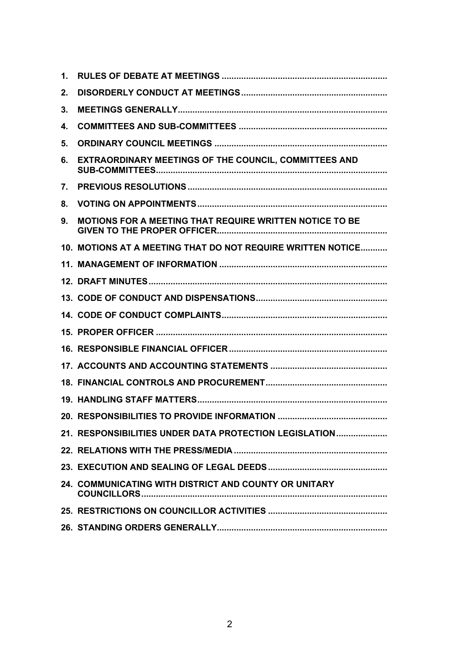| 1. |                                                             |
|----|-------------------------------------------------------------|
| 2. |                                                             |
| 3. |                                                             |
| 4. |                                                             |
| 5. |                                                             |
| 6. | EXTRAORDINARY MEETINGS OF THE COUNCIL, COMMITTEES AND       |
| 7. |                                                             |
| 8. |                                                             |
| 9. | MOTIONS FOR A MEETING THAT REQUIRE WRITTEN NOTICE TO BE     |
|    | 10. MOTIONS AT A MEETING THAT DO NOT REQUIRE WRITTEN NOTICE |
|    |                                                             |
|    |                                                             |
|    |                                                             |
|    |                                                             |
|    |                                                             |
|    |                                                             |
|    |                                                             |
|    |                                                             |
|    |                                                             |
|    |                                                             |
|    | 21. RESPONSIBILITIES UNDER DATA PROTECTION LEGISLATION      |
|    |                                                             |
|    |                                                             |
|    | 24. COMMUNICATING WITH DISTRICT AND COUNTY OR UNITARY       |
|    |                                                             |
|    |                                                             |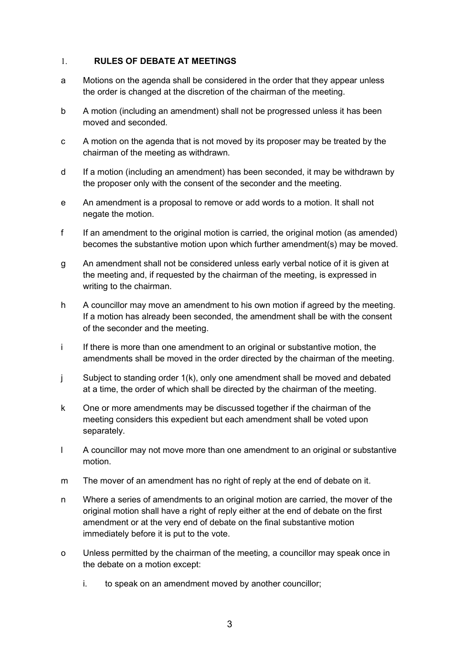#### <span id="page-2-0"></span>1. **RULES OF DEBATE AT MEETINGS**

- a Motions on the agenda shall be considered in the order that they appear unless the order is changed at the discretion of the chairman of the meeting.
- b A motion (including an amendment) shall not be progressed unless it has been moved and seconded.
- c A motion on the agenda that is not moved by its proposer may be treated by the chairman of the meeting as withdrawn.
- d If a motion (including an amendment) has been seconded, it may be withdrawn by the proposer only with the consent of the seconder and the meeting.
- e An amendment is a proposal to remove or add words to a motion. It shall not negate the motion.
- f If an amendment to the original motion is carried, the original motion (as amended) becomes the substantive motion upon which further amendment(s) may be moved.
- g An amendment shall not be considered unless early verbal notice of it is given at the meeting and, if requested by the chairman of the meeting, is expressed in writing to the chairman.
- h A councillor may move an amendment to his own motion if agreed by the meeting. If a motion has already been seconded, the amendment shall be with the consent of the seconder and the meeting.
- i If there is more than one amendment to an original or substantive motion, the amendments shall be moved in the order directed by the chairman of the meeting.
- j Subject to standing order 1(k), only one amendment shall be moved and debated at a time, the order of which shall be directed by the chairman of the meeting.
- k One or more amendments may be discussed together if the chairman of the meeting considers this expedient but each amendment shall be voted upon separately.
- l A councillor may not move more than one amendment to an original or substantive motion.
- m The mover of an amendment has no right of reply at the end of debate on it.
- n Where a series of amendments to an original motion are carried, the mover of the original motion shall have a right of reply either at the end of debate on the first amendment or at the very end of debate on the final substantive motion immediately before it is put to the vote.
- o Unless permitted by the chairman of the meeting, a councillor may speak once in the debate on a motion except:
	- i. to speak on an amendment moved by another councillor;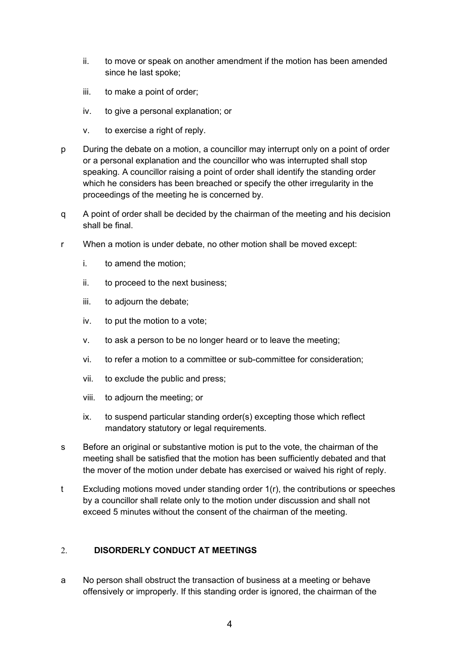- ii. to move or speak on another amendment if the motion has been amended since he last spoke;
- iii. to make a point of order;
- iv. to give a personal explanation; or
- v. to exercise a right of reply.
- p During the debate on a motion, a councillor may interrupt only on a point of order or a personal explanation and the councillor who was interrupted shall stop speaking. A councillor raising a point of order shall identify the standing order which he considers has been breached or specify the other irregularity in the proceedings of the meeting he is concerned by.
- q A point of order shall be decided by the chairman of the meeting and his decision shall be final.
- r When a motion is under debate, no other motion shall be moved except:
	- i. to amend the motion;
	- ii. to proceed to the next business;
	- iii. to adjourn the debate;
	- iv. to put the motion to a vote;
	- v. to ask a person to be no longer heard or to leave the meeting;
	- vi. to refer a motion to a committee or sub-committee for consideration;
	- vii. to exclude the public and press;
	- viii. to adjourn the meeting; or
	- ix. to suspend particular standing order(s) excepting those which reflect mandatory statutory or legal requirements.
- s Before an original or substantive motion is put to the vote, the chairman of the meeting shall be satisfied that the motion has been sufficiently debated and that the mover of the motion under debate has exercised or waived his right of reply.
- t Excluding motions moved under standing order 1(r), the contributions or speeches by a councillor shall relate only to the motion under discussion and shall not exceed 5 minutes without the consent of the chairman of the meeting.

# <span id="page-3-0"></span>2. **DISORDERLY CONDUCT AT MEETINGS**

a No person shall obstruct the transaction of business at a meeting or behave offensively or improperly. If this standing order is ignored, the chairman of the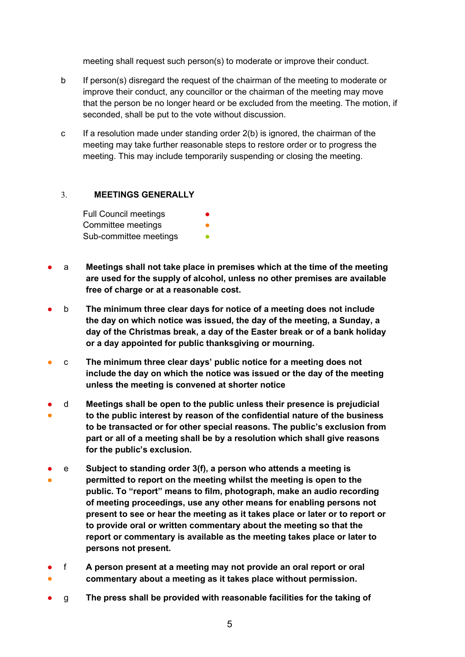meeting shall request such person(s) to moderate or improve their conduct.

- b If person(s) disregard the request of the chairman of the meeting to moderate or improve their conduct, any councillor or the chairman of the meeting may move that the person be no longer heard or be excluded from the meeting. The motion, if seconded, shall be put to the vote without discussion.
- c If a resolution made under standing order  $2(b)$  is ignored, the chairman of the meeting may take further reasonable steps to restore order or to progress the meeting. This may include temporarily suspending or closing the meeting.

#### <span id="page-4-0"></span>3. **MEETINGS GENERALLY**

Full Council meetings Committee meetings Sub-committee meetings

- a **Meetings shall not take place in premises which at the time of the meeting are used for the supply of alcohol, unless no other premises are available free of charge or at a reasonable cost.**
- b **The minimum three clear days for notice of a meeting does not include the day on which notice was issued, the day of the meeting, a Sunday, a day of the Christmas break, a day of the Easter break or of a bank holiday or a day appointed for public thanksgiving or mourning.**
- c **The minimum three clear days' public notice for a meeting does not include the day on which the notice was issued or the day of the meeting unless the meeting is convened at shorter notice**
- ● d **Meetings shall be open to the public unless their presence is prejudicial to the public interest by reason of the confidential nature of the business to be transacted or for other special reasons. The public's exclusion from part or all of a meeting shall be by a resolution which shall give reasons for the public's exclusion.**
- ● e **Subject to standing order 3(f), a person who attends a meeting is permitted to report on the meeting whilst the meeting is open to the public. To "report" means to film, photograph, make an audio recording of meeting proceedings, use any other means for enabling persons not present to see or hear the meeting as it takes place or later or to report or to provide oral or written commentary about the meeting so that the report or commentary is available as the meeting takes place or later to persons not present.**
- ● f **A person present at a meeting may not provide an oral report or oral commentary about a meeting as it takes place without permission.**
- g **The press shall be provided with reasonable facilities for the taking of**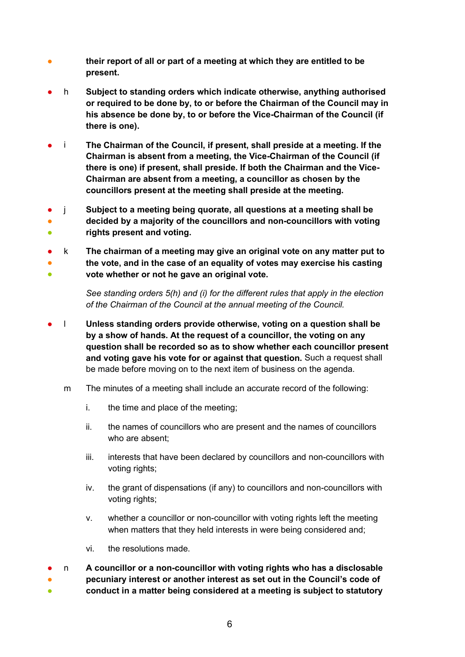- **their report of all or part of a meeting at which they are entitled to be present.**
- h **Subject to standing orders which indicate otherwise, anything authorised or required to be done by, to or before the Chairman of the Council may in his absence be done by, to or before the Vice-Chairman of the Council (if there is one).**
- **i** The Chairman of the Council, if present, shall preside at a meeting. If the **Chairman is absent from a meeting, the Vice-Chairman of the Council (if there is one) if present, shall preside. If both the Chairman and the Vice-Chairman are absent from a meeting, a councillor as chosen by the councillors present at the meeting shall preside at the meeting.**
- ● ● j **Subject to a meeting being quorate, all questions at a meeting shall be decided by a majority of the councillors and non-councillors with voting rights present and voting.**
- ● ● k **The chairman of a meeting may give an original vote on any matter put to the vote, and in the case of an equality of votes may exercise his casting vote whether or not he gave an original vote.**

*See standing orders 5(h) and (i) for the different rules that apply in the election of the Chairman of the Council at the annual meeting of the Council.*

- l **Unless standing orders provide otherwise, voting on a question shall be by a show of hands. At the request of a councillor, the voting on any question shall be recorded so as to show whether each councillor present and voting gave his vote for or against that question.** Such a request shall be made before moving on to the next item of business on the agenda.
	- m The minutes of a meeting shall include an accurate record of the following:
		- i. the time and place of the meeting;
		- ii. the names of councillors who are present and the names of councillors who are absent;
		- iii. interests that have been declared by councillors and non-councillors with voting rights;
		- iv. the grant of dispensations (if any) to councillors and non-councillors with voting rights;
		- v. whether a councillor or non-councillor with voting rights left the meeting when matters that they held interests in were being considered and;
		- vi. the resolutions made.
- ● ● n **A councillor or a non-councillor with voting rights who has a disclosable pecuniary interest or another interest as set out in the Council's code of conduct in a matter being considered at a meeting is subject to statutory**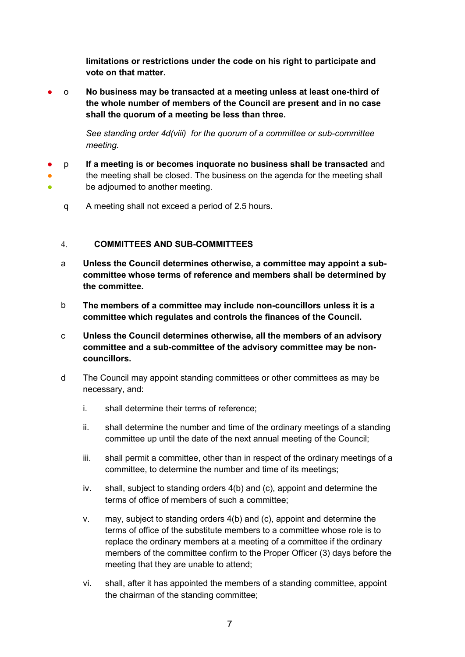**limitations or restrictions under the code on his right to participate and vote on that matter.**

● o **No business may be transacted at a meeting unless at least one-third of the whole number of members of the Council are present and in no case shall the quorum of a meeting be less than three.**

> *See standing order 4d(viii) for the quorum of a committee or sub-committee meeting.*

- ● ● p **If a meeting is or becomes inquorate no business shall be transacted** and the meeting shall be closed. The business on the agenda for the meeting shall be adjourned to another meeting.
	- q A meeting shall not exceed a period of 2.5 hours.

#### <span id="page-6-0"></span>4. **COMMITTEES AND SUB-COMMITTEES**

- a **Unless the Council determines otherwise, a committee may appoint a subcommittee whose terms of reference and members shall be determined by the committee.**
- b **The members of a committee may include non-councillors unless it is a committee which regulates and controls the finances of the Council.**
- c **Unless the Council determines otherwise, all the members of an advisory committee and a sub-committee of the advisory committee may be noncouncillors.**
- d The Council may appoint standing committees or other committees as may be necessary, and:
	- i. shall determine their terms of reference;
	- ii. shall determine the number and time of the ordinary meetings of a standing committee up until the date of the next annual meeting of the Council;
	- iii. shall permit a committee, other than in respect of the ordinary meetings of a committee, to determine the number and time of its meetings;
	- iv. shall, subject to standing orders 4(b) and (c), appoint and determine the terms of office of members of such a committee;
	- v. may, subject to standing orders 4(b) and (c), appoint and determine the terms of office of the substitute members to a committee whose role is to replace the ordinary members at a meeting of a committee if the ordinary members of the committee confirm to the Proper Officer (3) days before the meeting that they are unable to attend;
	- vi. shall, after it has appointed the members of a standing committee, appoint the chairman of the standing committee;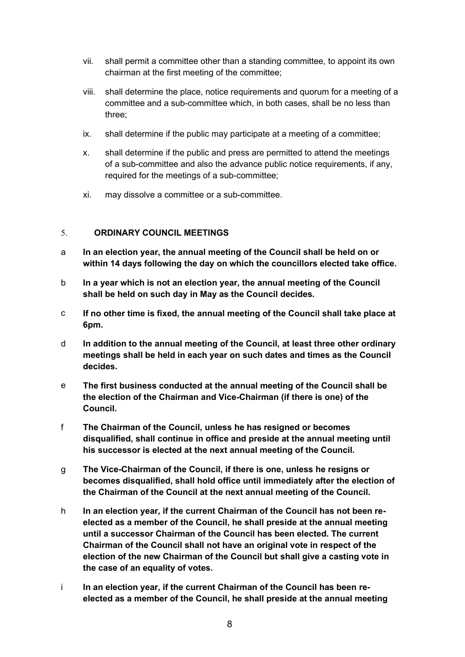- vii. shall permit a committee other than a standing committee, to appoint its own chairman at the first meeting of the committee;
- viii. shall determine the place, notice requirements and quorum for a meeting of a committee and a sub-committee which, in both cases, shall be no less than three;
- ix. shall determine if the public may participate at a meeting of a committee;
- x. shall determine if the public and press are permitted to attend the meetings of a sub-committee and also the advance public notice requirements, if any, required for the meetings of a sub-committee;
- xi. may dissolve a committee or a sub-committee.

# <span id="page-7-0"></span>5. **ORDINARY COUNCIL MEETINGS**

- a **In an election year, the annual meeting of the Council shall be held on or within 14 days following the day on which the councillors elected take office.**
- b **In a year which is not an election year, the annual meeting of the Council shall be held on such day in May as the Council decides.**
- c **If no other time is fixed, the annual meeting of the Council shall take place at 6pm.**
- d **In addition to the annual meeting of the Council, at least three other ordinary meetings shall be held in each year on such dates and times as the Council decides.**
- e **The first business conducted at the annual meeting of the Council shall be the election of the Chairman and Vice-Chairman (if there is one) of the Council.**
- f **The Chairman of the Council, unless he has resigned or becomes disqualified, shall continue in office and preside at the annual meeting until his successor is elected at the next annual meeting of the Council.**
- g **The Vice-Chairman of the Council, if there is one, unless he resigns or becomes disqualified, shall hold office until immediately after the election of the Chairman of the Council at the next annual meeting of the Council.**
- h **In an election year, if the current Chairman of the Council has not been reelected as a member of the Council, he shall preside at the annual meeting until a successor Chairman of the Council has been elected. The current Chairman of the Council shall not have an original vote in respect of the election of the new Chairman of the Council but shall give a casting vote in the case of an equality of votes.**
- i **In an election year, if the current Chairman of the Council has been reelected as a member of the Council, he shall preside at the annual meeting**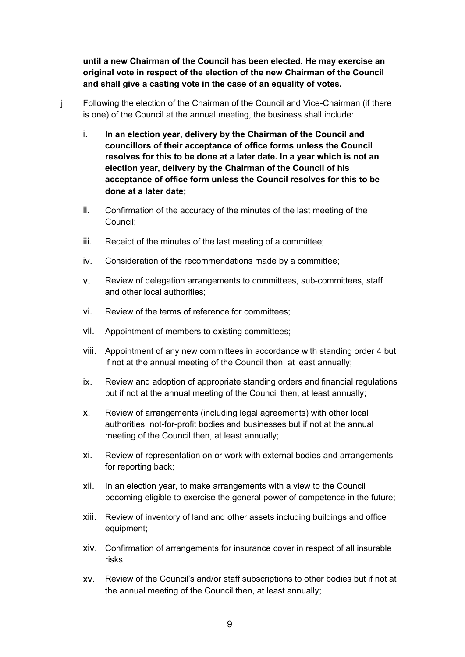**until a new Chairman of the Council has been elected. He may exercise an original vote in respect of the election of the new Chairman of the Council and shall give a casting vote in the case of an equality of votes.**

- j Following the election of the Chairman of the Council and Vice-Chairman (if there is one) of the Council at the annual meeting, the business shall include:
	- i. **In an election year, delivery by the Chairman of the Council and councillors of their acceptance of office forms unless the Council resolves for this to be done at a later date. In a year which is not an election year, delivery by the Chairman of the Council of his acceptance of office form unless the Council resolves for this to be done at a later date;**
	- ii. Confirmation of the accuracy of the minutes of the last meeting of the Council;
	- iii. Receipt of the minutes of the last meeting of a committee;
	- iv. Consideration of the recommendations made by a committee;
	- v. Review of delegation arrangements to committees, sub-committees, staff and other local authorities;
	- vi. Review of the terms of reference for committees;
	- vii. Appointment of members to existing committees;
	- viii. Appointment of any new committees in accordance with standing order 4 but if not at the annual meeting of the Council then, at least annually;
	- ix. Review and adoption of appropriate standing orders and financial regulations but if not at the annual meeting of the Council then, at least annually;
	- x. Review of arrangements (including legal agreements) with other local authorities, not-for-profit bodies and businesses but if not at the annual meeting of the Council then, at least annually;
	- xi. Review of representation on or work with external bodies and arrangements for reporting back;
	- xii. In an election year, to make arrangements with a view to the Council becoming eligible to exercise the general power of competence in the future;
	- xiii. Review of inventory of land and other assets including buildings and office equipment;
	- xiv. Confirmation of arrangements for insurance cover in respect of all insurable risks;
	- xv. Review of the Council's and/or staff subscriptions to other bodies but if not at the annual meeting of the Council then, at least annually;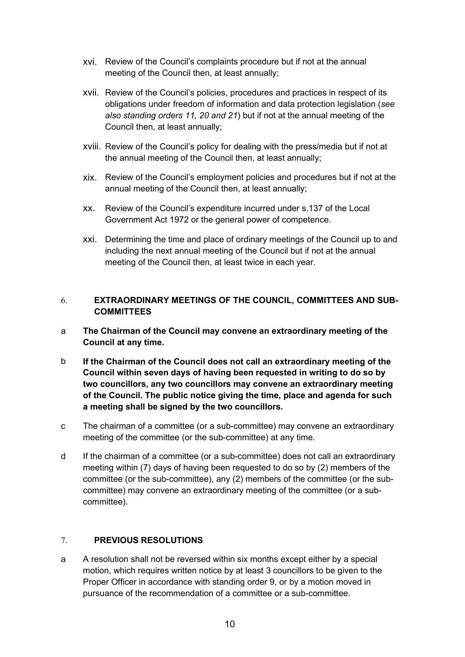- xvi. Review of the Council's complaints procedure but if not at the annual meeting of the Council then, at least annually;
- xvii. Review of the Council's policies, procedures and practices in respect of its obligations under freedom of information and data protection legislation (*see also standing orders 11, 20 and 21*) but if not at the annual meeting of the Council then, at least annually;
- xviii. Review of the Council's policy for dealing with the press/media but if not at the annual meeting of the Council then, at least annually;
- xix. Review of the Council's employment policies and procedures but if not at the annual meeting of the Council then, at least annually;
- xx. Review of the Council's expenditure incurred under s.137 of the Local Government Act 1972 or the general power of competence.
- xxi. Determining the time and place of ordinary meetings of the Council up to and including the next annual meeting of the Council but if not at the annual meeting of the Council then, at least twice in each year.

# <span id="page-9-0"></span>6. **EXTRAORDINARY MEETINGS OF THE COUNCIL, COMMITTEES AND SUB-COMMITTEES**

- a **The Chairman of the Council may convene an extraordinary meeting of the Council at any time.**
- b **If the Chairman of the Council does not call an extraordinary meeting of the Council within seven days of having been requested in writing to do so by two councillors, any two councillors may convene an extraordinary meeting of the Council. The public notice giving the time, place and agenda for such a meeting shall be signed by the two councillors.**
- c The chairman of a committee (or a sub-committee) may convene an extraordinary meeting of the committee (or the sub-committee) at any time.
- d If the chairman of a committee (or a sub-committee) does not call an extraordinary meeting within (7) days of having been requested to do so by (2) members of the committee (or the sub-committee), any (2) members of the committee (or the subcommittee) may convene an extraordinary meeting of the committee (or a subcommittee).

# <span id="page-9-1"></span>7. **PREVIOUS RESOLUTIONS**

a A resolution shall not be reversed within six months except either by a special motion, which requires written notice by at least 3 councillors to be given to the Proper Officer in accordance with standing order 9, or by a motion moved in pursuance of the recommendation of a committee or a sub-committee.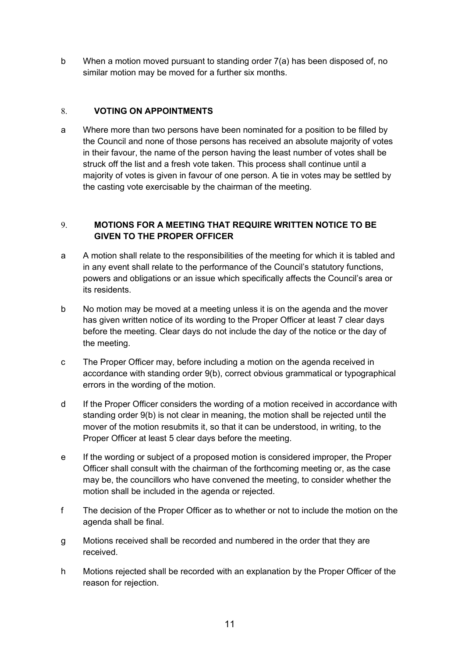b When a motion moved pursuant to standing order 7(a) has been disposed of, no similar motion may be moved for a further six months.

#### <span id="page-10-0"></span>8. **VOTING ON APPOINTMENTS**

a Where more than two persons have been nominated for a position to be filled by the Council and none of those persons has received an absolute majority of votes in their favour, the name of the person having the least number of votes shall be struck off the list and a fresh vote taken. This process shall continue until a majority of votes is given in favour of one person. A tie in votes may be settled by the casting vote exercisable by the chairman of the meeting.

# <span id="page-10-1"></span>9. **MOTIONS FOR A MEETING THAT REQUIRE WRITTEN NOTICE TO BE GIVEN TO THE PROPER OFFICER**

- a A motion shall relate to the responsibilities of the meeting for which it is tabled and in any event shall relate to the performance of the Council's statutory functions, powers and obligations or an issue which specifically affects the Council's area or its residents.
- b No motion may be moved at a meeting unless it is on the agenda and the mover has given written notice of its wording to the Proper Officer at least 7 clear days before the meeting. Clear days do not include the day of the notice or the day of the meeting.
- c The Proper Officer may, before including a motion on the agenda received in accordance with standing order 9(b), correct obvious grammatical or typographical errors in the wording of the motion.
- d If the Proper Officer considers the wording of a motion received in accordance with standing order 9(b) is not clear in meaning, the motion shall be rejected until the mover of the motion resubmits it, so that it can be understood, in writing, to the Proper Officer at least 5 clear days before the meeting.
- e If the wording or subject of a proposed motion is considered improper, the Proper Officer shall consult with the chairman of the forthcoming meeting or, as the case may be, the councillors who have convened the meeting, to consider whether the motion shall be included in the agenda or rejected.
- f The decision of the Proper Officer as to whether or not to include the motion on the agenda shall be final.
- g Motions received shall be recorded and numbered in the order that they are received.
- h Motions rejected shall be recorded with an explanation by the Proper Officer of the reason for rejection.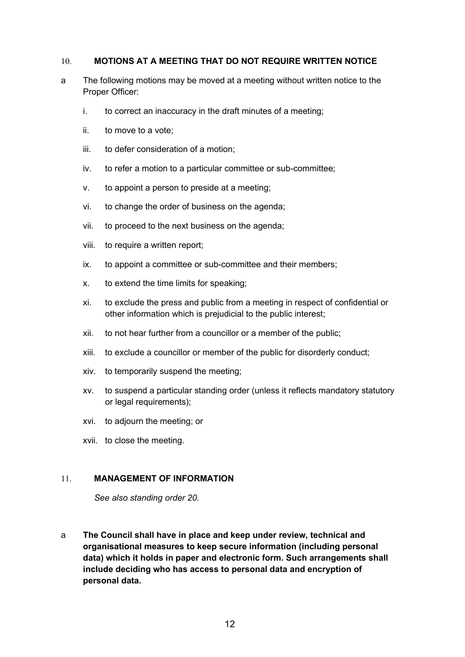#### <span id="page-11-0"></span>10. **MOTIONS AT A MEETING THAT DO NOT REQUIRE WRITTEN NOTICE**

- a The following motions may be moved at a meeting without written notice to the Proper Officer:
	- i. to correct an inaccuracy in the draft minutes of a meeting;
	- ii. to move to a vote;
	- iii. to defer consideration of a motion;
	- iv. to refer a motion to a particular committee or sub-committee;
	- v. to appoint a person to preside at a meeting;
	- vi. to change the order of business on the agenda;
	- vii. to proceed to the next business on the agenda;
	- viii. to require a written report;
	- ix. to appoint a committee or sub-committee and their members;
	- x. to extend the time limits for speaking;
	- xi. to exclude the press and public from a meeting in respect of confidential or other information which is prejudicial to the public interest;
	- xii. to not hear further from a councillor or a member of the public;
	- xiii. to exclude a councillor or member of the public for disorderly conduct;
	- xiv. to temporarily suspend the meeting;
	- xv. to suspend a particular standing order (unless it reflects mandatory statutory or legal requirements);
	- xvi. to adjourn the meeting; or
	- xvii. to close the meeting.

# <span id="page-11-1"></span>11. **MANAGEMENT OF INFORMATION**

*See also standing order 20.*

a **The Council shall have in place and keep under review, technical and organisational measures to keep secure information (including personal data) which it holds in paper and electronic form. Such arrangements shall include deciding who has access to personal data and encryption of personal data.**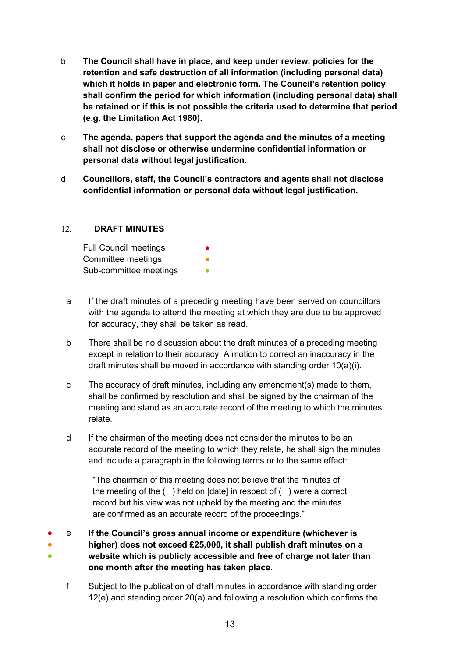- b **The Council shall have in place, and keep under review, policies for the retention and safe destruction of all information (including personal data) which it holds in paper and electronic form. The Council's retention policy shall confirm the period for which information (including personal data) shall be retained or if this is not possible the criteria used to determine that period (e.g. the Limitation Act 1980).**
- c **The agenda, papers that support the agenda and the minutes of a meeting shall not disclose or otherwise undermine confidential information or personal data without legal justification.**
- d **Councillors, staff, the Council's contractors and agents shall not disclose confidential information or personal data without legal justification.**

#### <span id="page-12-0"></span>12. **DRAFT MINUTES**

| <b>Full Council meetings</b> | $\bullet$ |
|------------------------------|-----------|
| Committee meetings           | ●         |
| Sub-committee meetings       | ●         |

- a If the draft minutes of a preceding meeting have been served on councillors with the agenda to attend the meeting at which they are due to be approved for accuracy, they shall be taken as read.
- b There shall be no discussion about the draft minutes of a preceding meeting except in relation to their accuracy. A motion to correct an inaccuracy in the draft minutes shall be moved in accordance with standing order 10(a)(i).
- c The accuracy of draft minutes, including any amendment(s) made to them, shall be confirmed by resolution and shall be signed by the chairman of the meeting and stand as an accurate record of the meeting to which the minutes relate.
- d If the chairman of the meeting does not consider the minutes to be an accurate record of the meeting to which they relate, he shall sign the minutes and include a paragraph in the following terms or to the same effect:

"The chairman of this meeting does not believe that the minutes of the meeting of the ( ) held on [date] in respect of ( ) were a correct record but his view was not upheld by the meeting and the minutes are confirmed as an accurate record of the proceedings."

● ● ● e **If the Council's gross annual income or expenditure (whichever is higher) does not exceed £25,000, it shall publish draft minutes on a website which is publicly accessible and free of charge not later than one month after the meeting has taken place.**

f Subject to the publication of draft minutes in accordance with standing order 12(e) and standing order 20(a) and following a resolution which confirms the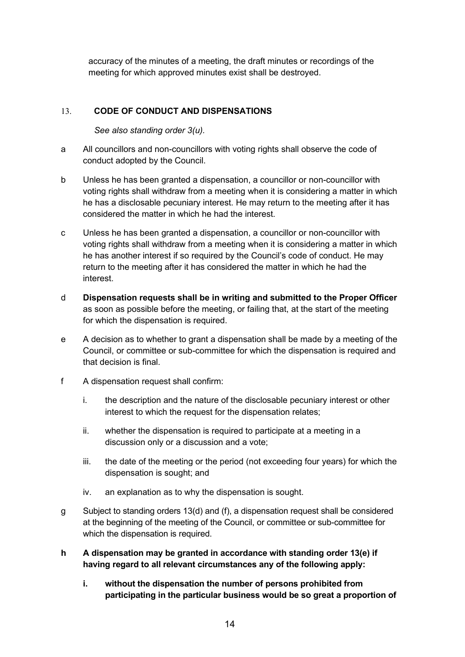accuracy of the minutes of a meeting, the draft minutes or recordings of the meeting for which approved minutes exist shall be destroyed.

# <span id="page-13-0"></span>13. **CODE OF CONDUCT AND DISPENSATIONS**

*See also standing order 3(u).*

- a All councillors and non-councillors with voting rights shall observe the code of conduct adopted by the Council.
- b Unless he has been granted a dispensation, a councillor or non-councillor with voting rights shall withdraw from a meeting when it is considering a matter in which he has a disclosable pecuniary interest. He may return to the meeting after it has considered the matter in which he had the interest.
- c Unless he has been granted a dispensation, a councillor or non-councillor with voting rights shall withdraw from a meeting when it is considering a matter in which he has another interest if so required by the Council's code of conduct. He may return to the meeting after it has considered the matter in which he had the interest.
- d **Dispensation requests shall be in writing and submitted to the Proper Officer** as soon as possible before the meeting, or failing that, at the start of the meeting for which the dispensation is required.
- e A decision as to whether to grant a dispensation shall be made by a meeting of the Council, or committee or sub-committee for which the dispensation is required and that decision is final.
- f A dispensation request shall confirm:
	- i. the description and the nature of the disclosable pecuniary interest or other interest to which the request for the dispensation relates;
	- ii. whether the dispensation is required to participate at a meeting in a discussion only or a discussion and a vote;
	- iii. the date of the meeting or the period (not exceeding four years) for which the dispensation is sought; and
	- iv. an explanation as to why the dispensation is sought.
- g Subject to standing orders 13(d) and (f), a dispensation request shall be considered at the beginning of the meeting of the Council, or committee or sub-committee for which the dispensation is required.
- **h A dispensation may be granted in accordance with standing order 13(e) if having regard to all relevant circumstances any of the following apply:**
	- **i. without the dispensation the number of persons prohibited from participating in the particular business would be so great a proportion of**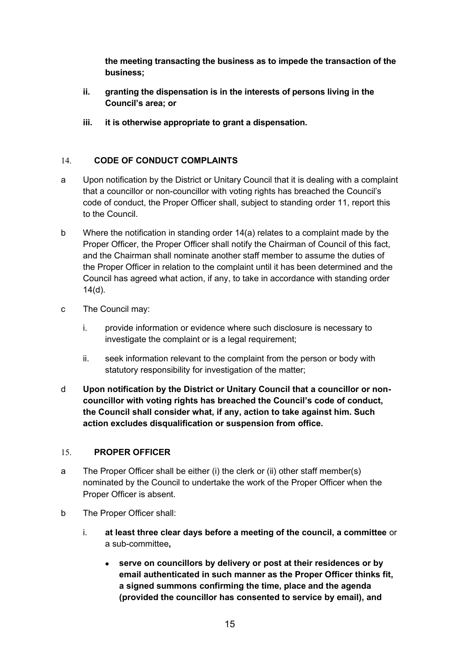**the meeting transacting the business as to impede the transaction of the business;** 

- **ii. granting the dispensation is in the interests of persons living in the Council's area; or**
- **iii. it is otherwise appropriate to grant a dispensation.**

# <span id="page-14-0"></span>14. **CODE OF CONDUCT COMPLAINTS**

- a Upon notification by the District or Unitary Council that it is dealing with a complaint that a councillor or non-councillor with voting rights has breached the Council's code of conduct, the Proper Officer shall, subject to standing order 11, report this to the Council.
- b Where the notification in standing order 14(a) relates to a complaint made by the Proper Officer, the Proper Officer shall notify the Chairman of Council of this fact, and the Chairman shall nominate another staff member to assume the duties of the Proper Officer in relation to the complaint until it has been determined and the Council has agreed what action, if any, to take in accordance with standing order 14(d).
- c The Council may:
	- i. provide information or evidence where such disclosure is necessary to investigate the complaint or is a legal requirement:
	- ii. seek information relevant to the complaint from the person or body with statutory responsibility for investigation of the matter;
- d **Upon notification by the District or Unitary Council that a councillor or noncouncillor with voting rights has breached the Council's code of conduct, the Council shall consider what, if any, action to take against him. Such action excludes disqualification or suspension from office.**

# <span id="page-14-1"></span>15. **PROPER OFFICER**

- a The Proper Officer shall be either (i) the clerk or (ii) other staff member(s) nominated by the Council to undertake the work of the Proper Officer when the Proper Officer is absent.
- b The Proper Officer shall:
	- i. **at least three clear days before a meeting of the council, a committee** or a sub-committee**,**
		- **serve on councillors by delivery or post at their residences or by email authenticated in such manner as the Proper Officer thinks fit, a signed summons confirming the time, place and the agenda (provided the councillor has consented to service by email), and**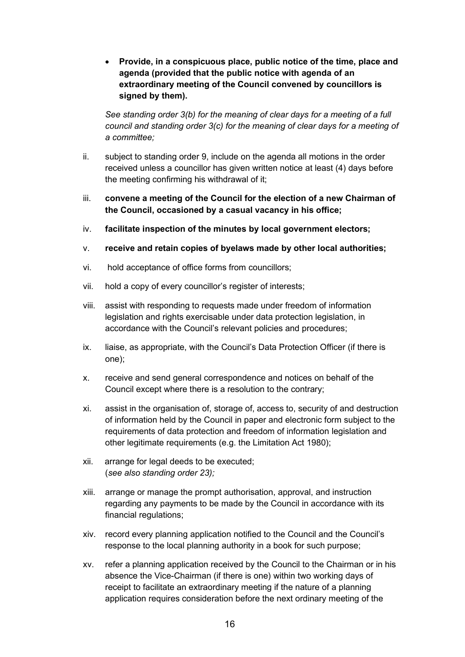• **Provide, in a conspicuous place, public notice of the time, place and agenda (provided that the public notice with agenda of an extraordinary meeting of the Council convened by councillors is signed by them).**

*See standing order 3(b) for the meaning of clear days for a meeting of a full council and standing order 3(c) for the meaning of clear days for a meeting of a committee;*

- ii. subject to standing order 9, include on the agenda all motions in the order received unless a councillor has given written notice at least (4) days before the meeting confirming his withdrawal of it;
- iii. **convene a meeting of the Council for the election of a new Chairman of the Council, occasioned by a casual vacancy in his office;**
- iv. **facilitate inspection of the minutes by local government electors;**
- v. **receive and retain copies of byelaws made by other local authorities;**
- vi. hold acceptance of office forms from councillors;
- vii. hold a copy of every councillor's register of interests;
- viii. assist with responding to requests made under freedom of information legislation and rights exercisable under data protection legislation, in accordance with the Council's relevant policies and procedures;
- ix. liaise, as appropriate, with the Council's Data Protection Officer (if there is one);
- x. receive and send general correspondence and notices on behalf of the Council except where there is a resolution to the contrary;
- xi. assist in the organisation of, storage of, access to, security of and destruction of information held by the Council in paper and electronic form subject to the requirements of data protection and freedom of information legislation and other legitimate requirements (e.g. the Limitation Act 1980);
- xii. arrange for legal deeds to be executed; (*see also standing order 23);*
- xiii. arrange or manage the prompt authorisation, approval, and instruction regarding any payments to be made by the Council in accordance with its financial regulations;
- xiv. record every planning application notified to the Council and the Council's response to the local planning authority in a book for such purpose;
- xv. refer a planning application received by the Council to the Chairman or in his absence the Vice-Chairman (if there is one) within two working days of receipt to facilitate an extraordinary meeting if the nature of a planning application requires consideration before the next ordinary meeting of the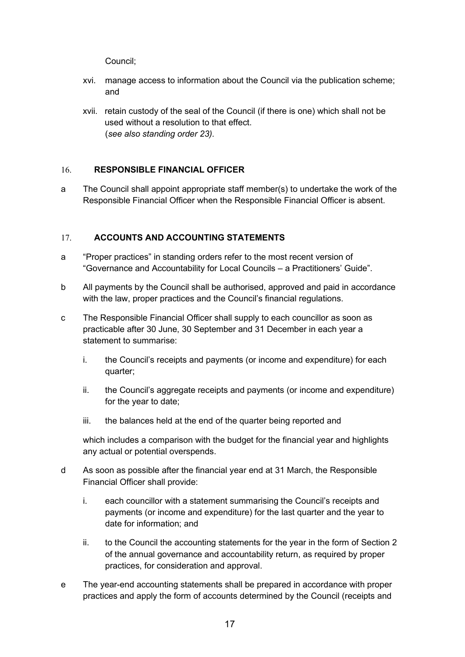Council;

- xvi. manage access to information about the Council via the publication scheme; and
- xvii. retain custody of the seal of the Council (if there is one) which shall not be used without a resolution to that effect. (*see also standing order 23).*

# <span id="page-16-0"></span>16. **RESPONSIBLE FINANCIAL OFFICER**

a The Council shall appoint appropriate staff member(s) to undertake the work of the Responsible Financial Officer when the Responsible Financial Officer is absent.

# <span id="page-16-1"></span>17. **ACCOUNTS AND ACCOUNTING STATEMENTS**

- a "Proper practices" in standing orders refer to the most recent version of "Governance and Accountability for Local Councils – a Practitioners' Guide".
- b All payments by the Council shall be authorised, approved and paid in accordance with the law, proper practices and the Council's financial regulations.
- c The Responsible Financial Officer shall supply to each councillor as soon as practicable after 30 June, 30 September and 31 December in each year a statement to summarise:
	- i. the Council's receipts and payments (or income and expenditure) for each quarter;
	- ii. the Council's aggregate receipts and payments (or income and expenditure) for the year to date;
	- iii. the balances held at the end of the quarter being reported and

which includes a comparison with the budget for the financial year and highlights any actual or potential overspends.

- d As soon as possible after the financial year end at 31 March, the Responsible Financial Officer shall provide:
	- i. each councillor with a statement summarising the Council's receipts and payments (or income and expenditure) for the last quarter and the year to date for information; and
	- ii. to the Council the accounting statements for the year in the form of Section 2 of the annual governance and accountability return, as required by proper practices, for consideration and approval.
- e The year-end accounting statements shall be prepared in accordance with proper practices and apply the form of accounts determined by the Council (receipts and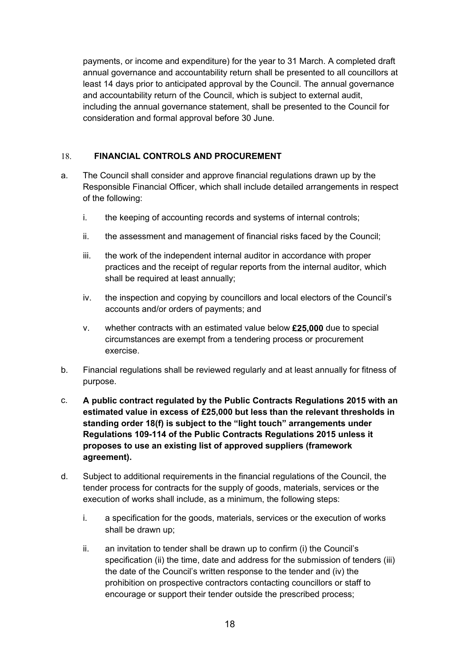payments, or income and expenditure) for the year to 31 March. A completed draft annual governance and accountability return shall be presented to all councillors at least 14 days prior to anticipated approval by the Council. The annual governance and accountability return of the Council, which is subject to external audit, including the annual governance statement, shall be presented to the Council for consideration and formal approval before 30 June.

# <span id="page-17-0"></span>18. **FINANCIAL CONTROLS AND PROCUREMENT**

- a. The Council shall consider and approve financial regulations drawn up by the Responsible Financial Officer, which shall include detailed arrangements in respect of the following:
	- i. the keeping of accounting records and systems of internal controls;
	- ii. the assessment and management of financial risks faced by the Council;
	- iii. the work of the independent internal auditor in accordance with proper practices and the receipt of regular reports from the internal auditor, which shall be required at least annually;
	- iv. the inspection and copying by councillors and local electors of the Council's accounts and/or orders of payments; and
	- v. whether contracts with an estimated value below **£25,000** due to special circumstances are exempt from a tendering process or procurement exercise.
- b. Financial regulations shall be reviewed regularly and at least annually for fitness of purpose.
- c. **A public contract regulated by the Public Contracts Regulations 2015 with an estimated value in excess of £25,000 but less than the relevant thresholds in standing order 18(f) is subject to the "light touch" arrangements under Regulations 109-114 of the Public Contracts Regulations 2015 unless it proposes to use an existing list of approved suppliers (framework agreement).**
- d. Subject to additional requirements in the financial regulations of the Council, the tender process for contracts for the supply of goods, materials, services or the execution of works shall include, as a minimum, the following steps:
	- i. a specification for the goods, materials, services or the execution of works shall be drawn up;
	- ii. an invitation to tender shall be drawn up to confirm (i) the Council's specification (ii) the time, date and address for the submission of tenders (iii) the date of the Council's written response to the tender and (iv) the prohibition on prospective contractors contacting councillors or staff to encourage or support their tender outside the prescribed process;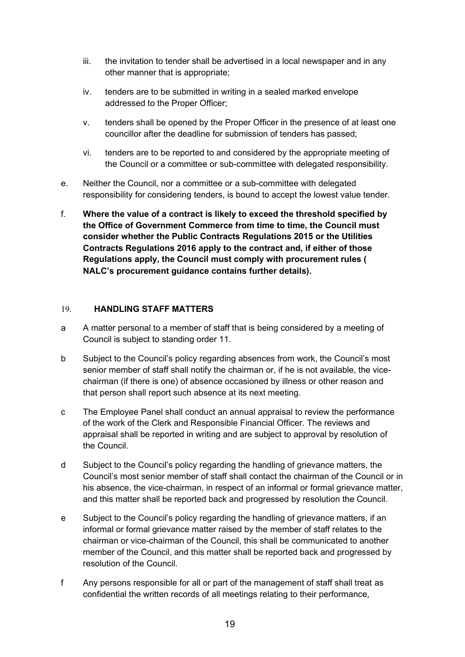- iii. the invitation to tender shall be advertised in a local newspaper and in any other manner that is appropriate;
- iv. tenders are to be submitted in writing in a sealed marked envelope addressed to the Proper Officer;
- v. tenders shall be opened by the Proper Officer in the presence of at least one councillor after the deadline for submission of tenders has passed;
- vi. tenders are to be reported to and considered by the appropriate meeting of the Council or a committee or sub-committee with delegated responsibility.
- e. Neither the Council, nor a committee or a sub-committee with delegated responsibility for considering tenders, is bound to accept the lowest value tender.
- f. **Where the value of a contract is likely to exceed the threshold specified by the Office of Government Commerce from time to time, the Council must consider whether the Public Contracts Regulations 2015 or the Utilities Contracts Regulations 2016 apply to the contract and, if either of those Regulations apply, the Council must comply with procurement rules ( NALC's procurement guidance contains further details).**

#### <span id="page-18-0"></span>19. **HANDLING STAFF MATTERS**

- a A matter personal to a member of staff that is being considered by a meeting of Council is subject to standing order 11.
- b Subject to the Council's policy regarding absences from work, the Council's most senior member of staff shall notify the chairman or, if he is not available, the vicechairman (if there is one) of absence occasioned by illness or other reason and that person shall report such absence at its next meeting.
- c The Employee Panel shall conduct an annual appraisal to review the performance of the work of the Clerk and Responsible Financial Officer. The reviews and appraisal shall be reported in writing and are subject to approval by resolution of the Council.
- d Subject to the Council's policy regarding the handling of grievance matters, the Council's most senior member of staff shall contact the chairman of the Council or in his absence, the vice-chairman, in respect of an informal or formal grievance matter, and this matter shall be reported back and progressed by resolution the Council.
- e Subject to the Council's policy regarding the handling of grievance matters, if an informal or formal grievance matter raised by the member of staff relates to the chairman or vice-chairman of the Council, this shall be communicated to another member of the Council, and this matter shall be reported back and progressed by resolution of the Council.
- f Any persons responsible for all or part of the management of staff shall treat as confidential the written records of all meetings relating to their performance,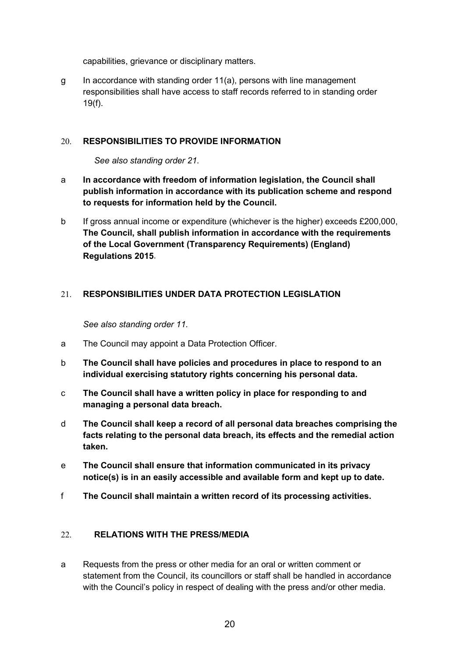capabilities, grievance or disciplinary matters.

g In accordance with standing order 11(a), persons with line management responsibilities shall have access to staff records referred to in standing order 19(f).

#### <span id="page-19-0"></span>20. **RESPONSIBILITIES TO PROVIDE INFORMATION**

*See also standing order 21.*

- a **In accordance with freedom of information legislation, the Council shall publish information in accordance with its publication scheme and respond to requests for information held by the Council.**
- b If gross annual income or expenditure (whichever is the higher) exceeds £200,000, **The Council, shall publish information in accordance with the requirements of the Local Government (Transparency Requirements) (England) Regulations 2015**.

#### <span id="page-19-1"></span>21. **RESPONSIBILITIES UNDER DATA PROTECTION LEGISLATION**

*See also standing order 11.*

- a The Council may appoint a Data Protection Officer.
- b **The Council shall have policies and procedures in place to respond to an individual exercising statutory rights concerning his personal data.**
- c **The Council shall have a written policy in place for responding to and managing a personal data breach.**
- d **The Council shall keep a record of all personal data breaches comprising the facts relating to the personal data breach, its effects and the remedial action taken.**
- e **The Council shall ensure that information communicated in its privacy notice(s) is in an easily accessible and available form and kept up to date.**
- f **The Council shall maintain a written record of its processing activities.**

#### <span id="page-19-2"></span>22. **RELATIONS WITH THE PRESS/MEDIA**

a Requests from the press or other media for an oral or written comment or statement from the Council, its councillors or staff shall be handled in accordance with the Council's policy in respect of dealing with the press and/or other media.